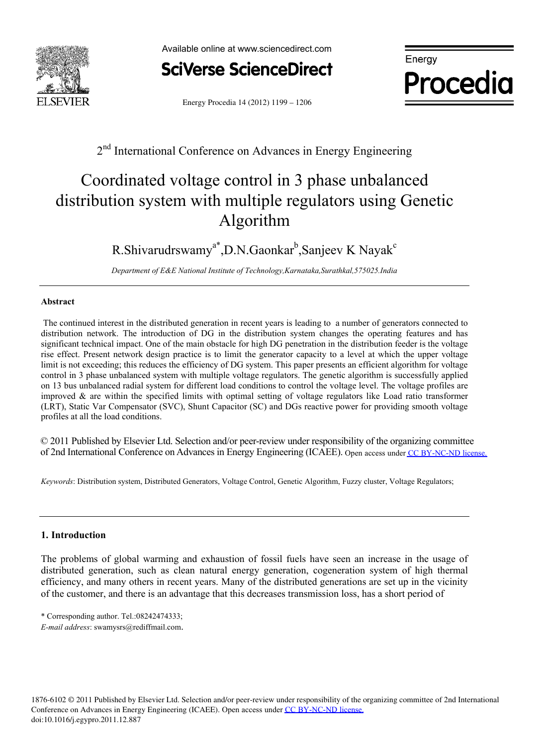



**Procedia**

Energy Procedia 14 (2012) 1199 - 1206

2<sup>nd</sup> International Conference on Advances in Energy Engineering

# Coordinated voltage control in 3 phase unbalanced distribution system with multiple regulators using Genetic Algorithm

R.Shivarudrswamy<sup>a\*</sup>,D.N.Gaonkar<sup>b</sup>,Sanjeev K Nayak<sup>c</sup>

*Department of E&E National Institute of Technology,Karnataka,Surathkal,575025.India* 

### **Abstract**

 The continued interest in the distributed generation in recent years is leading to a number of generators connected to distribution network. The introduction of DG in the distribution system changes the operating features and has significant technical impact. One of the main obstacle for high DG penetration in the distribution feeder is the voltage rise effect. Present network design practice is to limit the generator capacity to a level at which the upper voltage limit is not exceeding; this reduces the efficiency of DG system. This paper presents an efficient algorithm for voltage control in 3 phase unbalanced system with multiple voltage regulators. The genetic algorithm is successfully applied on 13 bus unbalanced radial system for different load conditions to control the voltage level. The voltage profiles are improved  $\&$  are within the specified limits with optimal setting of voltage regulators like Load ratio transformer (LRT), Static Var Compensator (SVC), Shunt Capacitor (SC) and DGs reactive power for providing smooth voltage profiles at all the load conditions.

of 2nd International Conference on Advances in Energy Engineering (ICAEE). Open access under [CC BY-NC-ND license.](http://creativecommons.org/licenses/by-nc-nd/3.0/) © 2011 Published by Elsevier Ltd. Selection and/or peer-review under responsibility of the organizing committee

*Keywords*: Distribution system, Distributed Generators, Voltage Control, Genetic Algorithm, Fuzzy cluster, Voltage Regulators;

## **1. Introduction**

The problems of global warming and exhaustion of fossil fuels have seen an increase in the usage of distributed generation, such as clean natural energy generation, cogeneration system of high thermal efficiency, and many others in recent years. Many of the distributed generations are set up in the vicinity of the customer, and there is an advantage that this decreases transmission loss, has a short period of

\* Corresponding author. Tel.:08242474333;

*E-mail address*: swamysrs@rediffmail.com.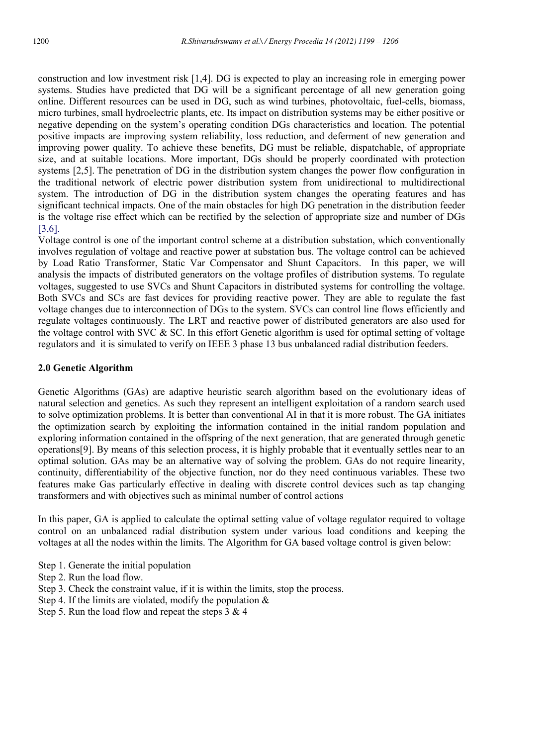construction and low investment risk [1,4]. DG is expected to play an increasing role in emerging power systems. Studies have predicted that DG will be a significant percentage of all new generation going online. Different resources can be used in DG, such as wind turbines, photovoltaic, fuel-cells, biomass, micro turbines, small hydroelectric plants, etc. Its impact on distribution systems may be either positive or negative depending on the system's operating condition DGs characteristics and location. The potential positive impacts are improving system reliability, loss reduction, and deferment of new generation and improving power quality. To achieve these benefits, DG must be reliable, dispatchable, of appropriate size, and at suitable locations. More important, DGs should be properly coordinated with protection systems [2,5]. The penetration of DG in the distribution system changes the power flow configuration in the traditional network of electric power distribution system from unidirectional to multidirectional system. The introduction of DG in the distribution system changes the operating features and has significant technical impacts. One of the main obstacles for high DG penetration in the distribution feeder is the voltage rise effect which can be rectified by the selection of appropriate size and number of DGs [3,6].

Voltage control is one of the important control scheme at a distribution substation, which conventionally involves regulation of voltage and reactive power at substation bus. The voltage control can be achieved by Load Ratio Transformer, Static Var Compensator and Shunt Capacitors. In this paper, we will analysis the impacts of distributed generators on the voltage profiles of distribution systems. To regulate voltages, suggested to use SVCs and Shunt Capacitors in distributed systems for controlling the voltage. Both SVCs and SCs are fast devices for providing reactive power. They are able to regulate the fast voltage changes due to interconnection of DGs to the system. SVCs can control line flows efficiently and regulate voltages continuously. The LRT and reactive power of distributed generators are also used for the voltage control with SVC  $\&$  SC. In this effort Genetic algorithm is used for optimal setting of voltage regulators and it is simulated to verify on IEEE 3 phase 13 bus unbalanced radial distribution feeders.

#### **2.0 Genetic Algorithm**

Genetic Algorithms (GAs) are adaptive heuristic search algorithm based on the evolutionary ideas of natural selection and genetics. As such they represent an intelligent exploitation of a random search used to solve optimization problems. It is better than conventional AI in that it is more robust. The GA initiates the optimization search by exploiting the information contained in the initial random population and exploring information contained in the offspring of the next generation, that are generated through genetic operations[9]. By means of this selection process, it is highly probable that it eventually settles near to an optimal solution. GAs may be an alternative way of solving the problem. GAs do not require linearity, continuity, differentiability of the objective function, nor do they need continuous variables. These two features make Gas particularly effective in dealing with discrete control devices such as tap changing transformers and with objectives such as minimal number of control actions

In this paper, GA is applied to calculate the optimal setting value of voltage regulator required to voltage control on an unbalanced radial distribution system under various load conditions and keeping the voltages at all the nodes within the limits. The Algorithm for GA based voltage control is given below:

- Step 1. Generate the initial population
- Step 2. Run the load flow.
- Step 3. Check the constraint value, if it is within the limits, stop the process.
- Step 4. If the limits are violated, modify the population  $\&$
- Step 5. Run the load flow and repeat the steps  $3 \& 4$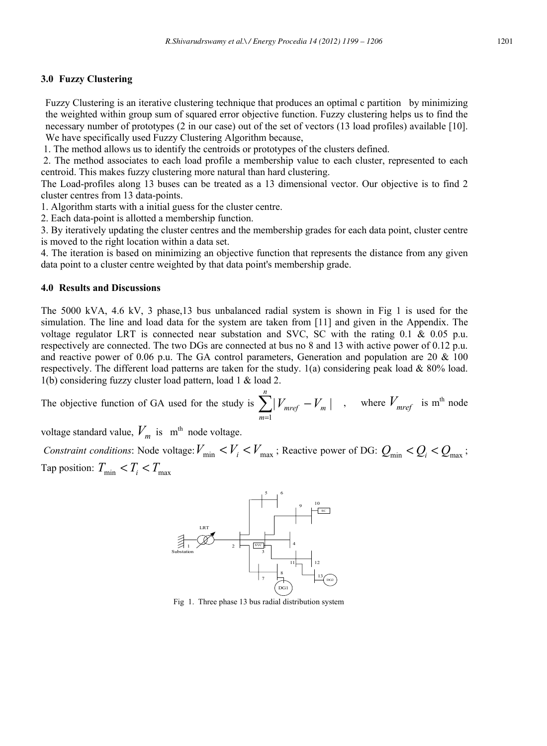#### **3.0 Fuzzy Clustering**

Fuzzy Clustering is an iterative clustering technique that produces an optimal c partition by minimizing the weighted within group sum of squared error objective function. Fuzzy clustering helps us to find the necessary number of prototypes (2 in our case) out of the set of vectors (13 load profiles) available [10]. We have specifically used Fuzzy Clustering Algorithm because,

1. The method allows us to identify the centroids or prototypes of the clusters defined.

 2. The method associates to each load profile a membership value to each cluster, represented to each centroid. This makes fuzzy clustering more natural than hard clustering.

The Load-profiles along 13 buses can be treated as a 13 dimensional vector. Our objective is to find 2 cluster centres from 13 data-points.

1. Algorithm starts with a initial guess for the cluster centre.

2. Each data-point is allotted a membership function.

3. By iteratively updating the cluster centres and the membership grades for each data point, cluster centre is moved to the right location within a data set.

4. The iteration is based on minimizing an objective function that represents the distance from any given data point to a cluster centre weighted by that data point's membership grade.

#### **4.0 Results and Discussions**

The 5000 kVA, 4.6 kV, 3 phase,13 bus unbalanced radial system is shown in Fig 1 is used for the simulation. The line and load data for the system are taken from [11] and given in the Appendix. The voltage regulator LRT is connected near substation and SVC, SC with the rating  $0.1 \& 0.05$  p.u. respectively are connected. The two DGs are connected at bus no 8 and 13 with active power of 0.12 p.u. and reactive power of 0.06 p.u. The GA control parameters, Generation and population are 20 & 100 respectively. The different load patterns are taken for the study. 1(a) considering peak load & 80% load. 1(b) considering fuzzy cluster load pattern, load 1 & load 2.

The objective function of GA used for the study is 1  $|V_{\text{mref}} - V_{\text{m}}|$ *n mref m m*  $V_{\text{mref}} - V$  $\sum_{m=1}^N |V_{mref} - V_m|$ , where  $V_{mref}$  is m<sup>th</sup> node

voltage standard value,  $V_m$  is  $m^{\text{th}}$  node voltage.

*Constraint conditions:* Node voltage:  $V_{\text{min}} < V_i < V_{\text{max}}$ ; Reactive power of DG:  $Q_{\text{min}} < Q_i < Q_{\text{max}}$ ; Tap position:  $T_{\min} < T_i < T_{\max}$ 



Fig 1. Three phase 13 bus radial distribution system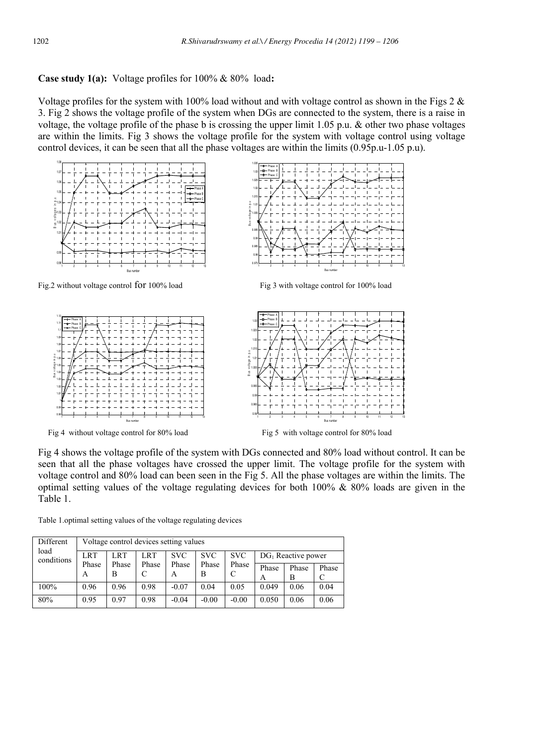## **Case study 1(a):** Voltage profiles for 100% & 80% load**:**

Voltage profiles for the system with 100% load without and with voltage control as shown in the Figs 2  $\&$ 3. Fig 2 shows the voltage profile of the system when DGs are connected to the system, there is a raise in voltage, the voltage profile of the phase b is crossing the upper limit 1.05 p.u. & other two phase voltages are within the limits. Fig 3 shows the voltage profile for the system with voltage control using voltage control devices, it can be seen that all the phase voltages are within the limits (0.95p.u-1.05 p.u).



Fig.2 without voltage control for 100% load Fig 3 with voltage control for 100% load



Fig 4 without voltage control for 80% load Fig 5 with voltage control for 80% load





Fig 4 shows the voltage profile of the system with DGs connected and 80% load without control. It can be seen that all the phase voltages have crossed the upper limit. The voltage profile for the system with voltage control and 80% load can been seen in the Fig 5. All the phase voltages are within the limits. The optimal setting values of the voltage regulating devices for both  $100\% \& 80\%$  loads are given in the Table 1.

Table 1.optimal setting values of the voltage regulating devices

| Different<br>load<br>conditions | Voltage control devices setting values |       |            |                     |         |            |       |                      |      |
|---------------------------------|----------------------------------------|-------|------------|---------------------|---------|------------|-------|----------------------|------|
|                                 | <b>LRT</b>                             | LRT   | LRT        | <b>SVC</b>          | SVC.    | <b>SVC</b> |       | $DG1$ Reactive power |      |
|                                 | Phase<br>Phase<br>в                    | Phase | Phase<br>A | Phase<br>Phase<br>в | Phase   | Phase      | Phase |                      |      |
|                                 | A                                      |       |            |                     |         | А          | в     |                      |      |
| 100%                            | 0.96                                   | 0.96  | 0.98       | $-0.07$             | 0.04    | 0.05       | 0.049 | 0.06                 | 0.04 |
| 80%                             | 0.95                                   | 0.97  | 0.98       | $-0.04$             | $-0.00$ | $-0.00$    | 0.050 | 0.06                 | 0.06 |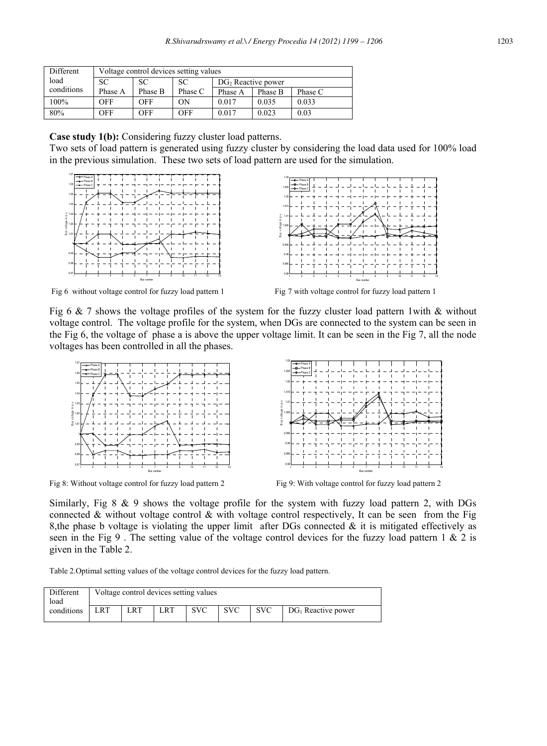| Different  | Voltage control devices setting values |         |         |                                |         |         |  |  |  |
|------------|----------------------------------------|---------|---------|--------------------------------|---------|---------|--|--|--|
| load       | SC                                     | SС      | SC      | DG <sub>2</sub> Reactive power |         |         |  |  |  |
| conditions | Phase A                                | Phase B | Phase C | Phase A                        | Phase B | Phase C |  |  |  |
| 100%       | OFF                                    | OFF     | OΝ      | 0.017                          | 0.035   | 0.033   |  |  |  |
| 80%        | OFF                                    | OFF     | OFF     | 0.017                          | 0.023   | 0.03    |  |  |  |

**Case study 1(b):** Considering fuzzy cluster load patterns.

Two sets of load pattern is generated using fuzzy cluster by considering the load data used for 100% load in the previous simulation. These two sets of load pattern are used for the simulation.





Fig 6 without voltage control for fuzzy load pattern 1 Fig 7 with voltage control for fuzzy load pattern 1

Fig 6  $\&$  7 shows the voltage profiles of the system for the fuzzy cluster load pattern 1with  $\&$  without voltage control. The voltage profile for the system, when DGs are connected to the system can be seen in the Fig 6, the voltage of phase a is above the upper voltage limit. It can be seen in the Fig 7, all the node voltages has been controlled in all the phases.



Fig 8: Without voltage control for fuzzy load pattern 2 Fig 9: With voltage control for fuzzy load pattern 2



Similarly, Fig 8 & 9 shows the voltage profile for the system with fuzzy load pattern 2, with DGs connected  $\&$  without voltage control  $\&$  with voltage control respectively, It can be seen from the Fig 8, the phase b voltage is violating the upper limit after DGs connected  $\&$  it is mitigated effectively as seen in the Fig 9. The setting value of the voltage control devices for the fuzzy load pattern  $1 \& 2$  is given in the Table 2.

Table 2.Optimal setting values of the voltage control devices for the fuzzy load pattern.

| Different<br>load |     | Voltage control devices setting values |     |            |            |            |                      |
|-------------------|-----|----------------------------------------|-----|------------|------------|------------|----------------------|
| conditions        | LRT | _RT                                    | LRT | <b>SVC</b> | <b>SVC</b> | <b>SVC</b> | $DG1$ Reactive power |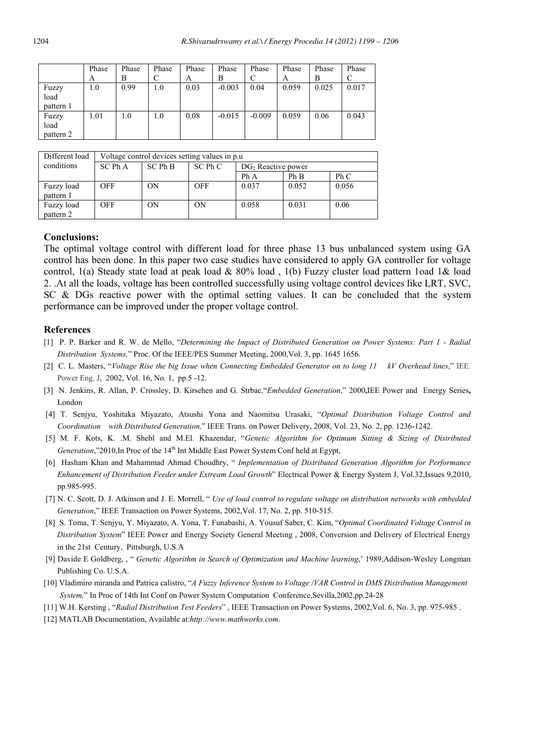|                            | Phase<br>А | Phase<br>B | Phase | Phase<br>A | Phase<br>B | Phase    | Phase<br>A | Phase<br>В | Phase |
|----------------------------|------------|------------|-------|------------|------------|----------|------------|------------|-------|
| Fuzzy<br>load<br>pattern 1 | 1.0        | 0.99       | 1.0   | 0.03       | $-0.003$   | 0.04     | 0.059      | 0.025      | 0.017 |
| Fuzzy<br>load<br>pattern 2 | 1.01       | 1.0        | 1.0   | 0.08       | $-0.015$   | $-0.009$ | 0.059      | 0.06       | 0.043 |

| Different load | Voltage control devices setting values in p.u. |       |        |                      |       |       |  |
|----------------|------------------------------------------------|-------|--------|----------------------|-------|-------|--|
| conditions     | SC Ph A                                        | SCPhB | SCPh C | $DG2$ Reactive power |       |       |  |
|                |                                                |       |        | Ph A                 | Ph B  | Ph C  |  |
| Fuzzy load     | <b>OFF</b>                                     | ON    | OFF    | 0.037                | 0.052 | 0.056 |  |
| pattern 1      |                                                |       |        |                      |       |       |  |
| Fuzzy load     | <b>OFF</b>                                     | ON    | OΝ     | 0.058                | 0.031 | 0.06  |  |
| pattern 2      |                                                |       |        |                      |       |       |  |

#### **Conclusions:**

The optimal voltage control with different load for three phase 13 bus unbalanced system using GA control has been done. In this paper two case studies have considered to apply GA controller for voltage control, 1(a) Steady state load at peak load  $\&$  80% load, 1(b) Fuzzy cluster load pattern 1oad 1 $\&$  load 2. .At all the loads, voltage has been controlled successfully using voltage control devices like LRT, SVC, SC & DGs reactive power with the optimal setting values. It can be concluded that the system performance can be improved under the proper voltage control.

#### **References**

- [1] P. P. Barker and R. W. de Mello, "*Determining the Impact of Distributed Generation on Power Systems: Part 1 Radial Distribution Systems,*" Proc. Of the IEEE/PES Summer Meeting, 2000,Vol. 3, pp. 1645 1656.
- [2] C. L. Masters, "*Voltage Rise the big Issue when Connecting Embedded Generator on to long 11 kV Overhead lines*," IEE. Power Eng. J, 2002, Vol. 16, No. 1, pp.5 -12.
- [3] N. Jenkins, R. Allan, P. Crossley, D. Kirsehen and G. Strbac,"*Embedded Generation*," 2000**,**IEE Power and Energy Series**,**  London
- [4] T. Senjyu, Yoshitaka Miyazato, Atsushi Yona and Naomitsu Urasaki, "*Optimal Distribution Voltage Control and Coordination with Distributed Generation,*" IEEE Trans. on Power Delivery, 2008, Vol. 23, No. 2, pp. 1236-1242.
- [5] M. F. Kots, K. .M. Shebl and M.El. Khazendar, "*Genetic Algorithm for Optimum Sitting & Sizing of Distributed Generation*,"2010,In Proc of the 14<sup>th</sup> Int Middle East Power System Conf held at Egypt,
- [6] Hasham Khan and Mahammad Ahmad Choudhry, " *Implementation of Distributed Generation Algorithm for Performance Enhancement of Distribution Feeder under Extream Load Growth*" Electrical Power & Energy System J, Vol.32,Issues 9,2010, pp.985-995.
- [7] N. C. Scott, D. J. Atkinson and J. E. Morrell, " *Use of load control to regulate voltage on distribution networks with embedded Generation*," IEEE Transaction on Power Systems, 2002,Vol. 17, No. 2, pp. 510-515.
- [8] S. Toma, T. Senjyu, Y. Miyazato, A. Yona, T. Funabashi, A. Yousuf Saber, C. Kim, "*Optimal Coordinated Voltage Control in Distribution System*" IEEE Power and Energy Society General Meeting , 2008, Conversion and Delivery of Electrical Energy in the 21st Century, Pittsburgh, U.S.A
- [9] Davide E Goldberg, , " *Genetic Algorithm in Search of Optimization and Machine learning*,' 1989,Addison-Wesley Longman Publishing Co. U.S.A.
- [10] Vladimiro miranda and Patrica calistro, "*A Fuzzy Inference System to Voltage /VAR Control in DMS Distribution Management System,*" In Proc of 14th Int Conf on Power System Computation Conference,Sevilla,2002,pp.24-28
- [11] W.H. Kersting , "*Radial Distribution Test Feeders*" , IEEE Transaction on Power Systems, 2002,Vol. 6, No. 3, pp. 975-985 .
- [12] MATLAB Documentation, Available at:*http://www.mathworks.com*.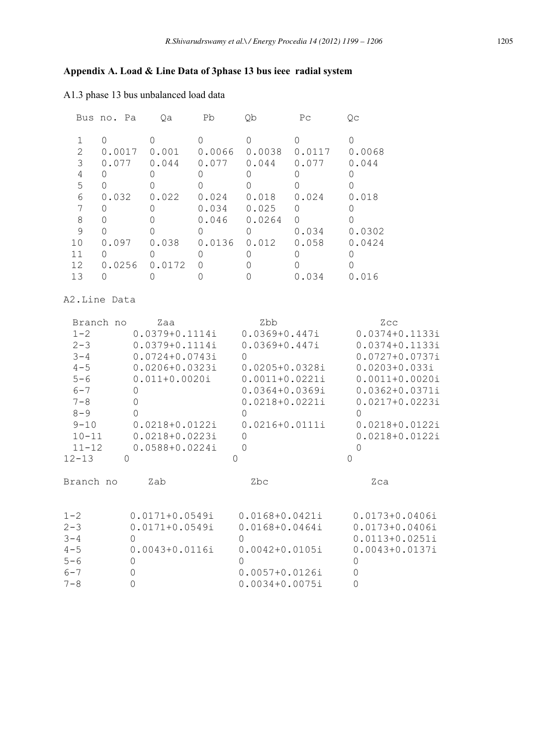# **Appendix A. Load & Line Data of 3phase 13 bus ieee radial system**

# A1.3 phase 13 bus unbalanced load data

|    | Bus no. Pa | Qa     | Pb     | Qb               | $P_{\rm C}$ | Qс     |
|----|------------|--------|--------|------------------|-------------|--------|
|    |            |        |        |                  |             |        |
| 2  | 0.0017     | 0.001  | 0.0066 | 0.0038           | 0.0117      | 0.0068 |
| 3  | 0.077      | 0.044  | 0.077  | 0.044            | 0.077       | 0.044  |
| 4  |            |        |        |                  |             |        |
| 5  |            |        |        |                  |             |        |
| 6  | 0.032      | 0.022  | 0.024  | 0.018            | 0.024       | 0.018  |
|    |            |        | 0.034  | 0.025            | O           |        |
| 8  |            |        | 0.046  | 0.0264           | $\Omega$    |        |
| 9  |            |        |        | $\left( \right)$ | 0.034       | 0.0302 |
| 10 | 0.097      | 0.038  | 0.0136 | 0.012            | 0.058       | 0.0424 |
| 11 |            |        |        |                  |             |        |
| 12 | 0.0256     | 0.0172 | ∩      |                  |             |        |
| 13 |            |        |        |                  | 0.034       | 0.016  |
|    |            |        |        |                  |             |        |

## A2.Line Data

| Branch no | Zaa                | Zbb                | Zcc                |
|-----------|--------------------|--------------------|--------------------|
| $1 - 2$   | $0.0379 + 0.1114i$ | $0.0369 + 0.447i$  | $0.0374 + 0.1133i$ |
| $2 - 3$   | $0.0379 + 0.1114i$ | $0.0369 + 0.447i$  | $0.0374 + 0.1133i$ |
| $3 - 4$   | $0.0724 + 0.0743i$ | O                  | $0.0727 + 0.0737i$ |
| $4 - 5$   | $0.0206 + 0.0323i$ | $0.0205 + 0.0328i$ | $0.0203 + 0.033i$  |
| $5 - 6$   | $0.011 + 0.0020i$  | $0.0011 + 0.0221i$ | $0.0011 + 0.0020i$ |
| $6 - 7$   | O                  | $0.0364 + 0.0369i$ | $0.0362 + 0.0371i$ |
| $7 - 8$   | 0                  | $0.0218 + 0.0221i$ | $0.0217 + 0.0223i$ |
| $8 - 9$   |                    |                    |                    |
| $9 - 10$  | $0.0218 + 0.0122i$ | $0.0216 + 0.0111i$ | $0.0218 + 0.0122i$ |
| $10 - 11$ | $0.0218 + 0.0223i$ | $\Omega$           | $0.0218 + 0.0122i$ |
| $11 - 12$ | $0.0588 + 0.0224i$ | 0                  |                    |
| $12 - 13$ | O                  |                    | 0                  |
| Branch no | Zab                | Zbc                | Zca                |
|           |                    |                    |                    |

| $1 - 2$ | $0.0171 + 0.0549i$ | $0.0168 + 0.0421i$ | $0.0173 + 0.0406i$ |
|---------|--------------------|--------------------|--------------------|
| $2 - 3$ | $0.0171 + 0.0549i$ | $0.0168 + 0.0464i$ | $0.0173 + 0.0406i$ |
| $3 - 4$ |                    |                    | $0.0113 + 0.0251i$ |
| $4 - 5$ | $0.0043 + 0.0116i$ | $0.0042 + 0.0105i$ | $0.0043 + 0.0137i$ |
| $5 - 6$ |                    |                    |                    |
| $6 - 7$ |                    | $0.0057 + 0.0126i$ |                    |
| $7 - 8$ |                    | $0.0034 + 0.0075i$ |                    |
|         |                    |                    |                    |